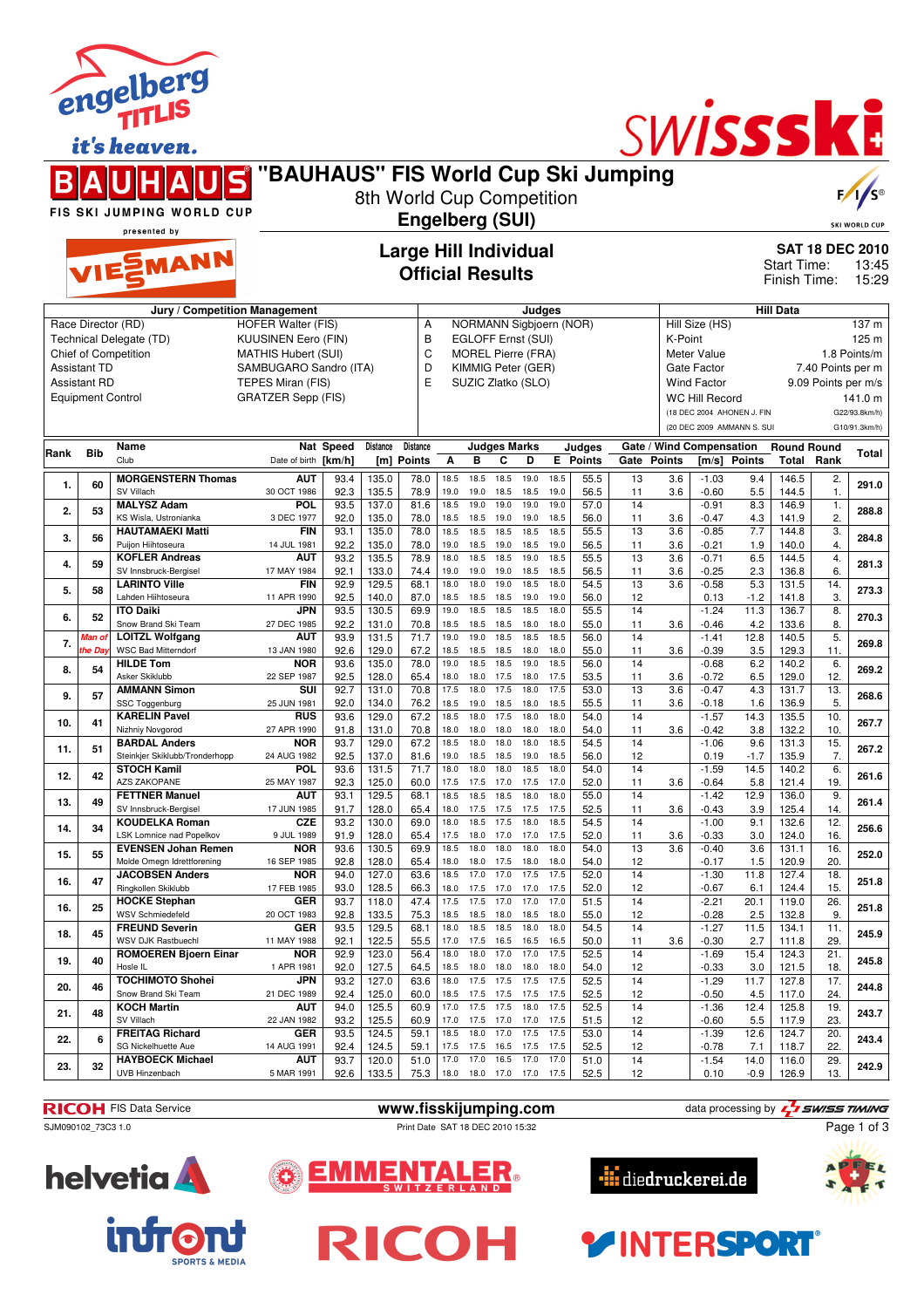|      |                          | engelberg<br>it's heaven.<br>FIS SKI JUMPING WORLD CUP<br>presented by<br>VIESMANN | "BAUHAUS" FIS World Cup Ski Jumping                     |                            | 8th World Cup Competition | <b>Engelberg (SUI)</b><br><b>Large Hill Individual</b><br><b>Official Results</b> |              |                                               |                   |              |              |                           |                 |            |                          | SWISSSKE                                                 | <b>Start Time:</b>                      |                        | $F / \sqrt{S^{\circ}}$<br><b>SKI WORLD CUP</b><br><b>SAT 18 DEC 2010</b><br>13:45 |
|------|--------------------------|------------------------------------------------------------------------------------|---------------------------------------------------------|----------------------------|---------------------------|-----------------------------------------------------------------------------------|--------------|-----------------------------------------------|-------------------|--------------|--------------|---------------------------|-----------------|------------|--------------------------|----------------------------------------------------------|-----------------------------------------|------------------------|-----------------------------------------------------------------------------------|
|      |                          |                                                                                    |                                                         |                            |                           |                                                                                   |              |                                               |                   |              |              |                           |                 |            |                          |                                                          | Finish Time:                            |                        | 15:29                                                                             |
|      |                          | Jury / Competition Management                                                      |                                                         |                            |                           |                                                                                   |              |                                               |                   | Judges       |              |                           |                 |            |                          |                                                          | <b>Hill Data</b>                        |                        |                                                                                   |
|      |                          | Race Director (RD)<br>Technical Delegate (TD)                                      | <b>HOFER Walter (FIS)</b><br><b>KUUSINEN Eero (FIN)</b> |                            |                           | Α<br>B                                                                            |              | NORMANN Sigbjoern (NOR)<br>EGLOFF Ernst (SUI) |                   |              |              |                           |                 | K-Point    | Hill Size (HS)           |                                                          |                                         |                        | 137 m<br>125 <sub>m</sub>                                                         |
|      |                          | Chief of Competition                                                               | <b>MATHIS Hubert (SUI)</b>                              |                            |                           | C                                                                                 |              | <b>MOREL Pierre (FRA)</b>                     |                   |              |              |                           |                 |            | Meter Value              |                                                          |                                         |                        | 1.8 Points/m                                                                      |
|      | <b>Assistant TD</b>      |                                                                                    | SAMBUGARO Sandro (ITA)                                  |                            |                           | D                                                                                 |              | KIMMIG Peter (GER)                            |                   |              |              |                           |                 |            | Gate Factor              |                                                          |                                         | 7.40 Points per m      |                                                                                   |
|      | <b>Assistant RD</b>      |                                                                                    | TEPES Miran (FIS)                                       |                            |                           | E                                                                                 |              | SUZIC Zlatko (SLO)                            |                   |              |              |                           |                 |            | <b>Wind Factor</b>       |                                                          |                                         | 9.09 Points per m/s    |                                                                                   |
|      | <b>Equipment Control</b> |                                                                                    | <b>GRATZER Sepp (FIS)</b>                               |                            |                           |                                                                                   |              |                                               |                   |              |              |                           |                 |            | <b>WC Hill Record</b>    |                                                          |                                         |                        | 141.0 m                                                                           |
|      |                          |                                                                                    |                                                         |                            |                           |                                                                                   |              |                                               |                   |              |              |                           |                 |            |                          | (18 DEC 2004 AHONEN J. FIN<br>(20 DEC 2009 AMMANN S. SUI |                                         |                        | G22/93.8km/h)<br>G10/91.3km/h)                                                    |
|      |                          |                                                                                    |                                                         |                            |                           |                                                                                   |              |                                               |                   |              |              |                           |                 |            |                          |                                                          |                                         |                        |                                                                                   |
| Rank | <b>Bib</b>               | Name<br>Club                                                                       | Date of birth                                           | <b>Nat Speed</b><br>[km/h] | Distance                  | <b>Distance</b><br>[m] Points                                                     | Α            | <b>Judges Marks</b><br>в                      | C                 | D            |              | Judges<br><b>E</b> Points | Gate Points     |            | Gate / Wind Compensation | [m/s] Points                                             | <b>Round Round</b><br><b>Total Rank</b> |                        | Total                                                                             |
| 1.   | 60                       | <b>MORGENSTERN Thomas</b>                                                          | <b>AUT</b>                                              | 93.4                       | 135.0                     | 78.0                                                                              | 18.5         | 18.5                                          | 18.5              | 19.0         | 18.5         | 55.5                      | 13              | 3.6        | $-1.03$                  | 9.4                                                      | 146.5                                   | 2.                     | 291.0                                                                             |
|      |                          | SV Villach<br><b>MALYSZ Adam</b>                                                   | 30 OCT 1986<br>POL                                      | 92.3<br>93.5               | 135.5<br>137.0            | 78.9<br>81.6                                                                      | 19.0<br>18.5 | 19.0<br>19.0                                  | 18.5<br>19.0      | 18.5<br>19.0 | 19.0<br>19.0 | 56.5<br>57.0              | 11<br>14        | 3.6        | $-0.60$<br>$-0.91$       | 5.5<br>8.3                                               | 144.5<br>146.9                          | 1.<br>$\overline{1}$ . |                                                                                   |
| 2.   | 53                       | KS Wisla, Ustronianka                                                              | 3 DEC 1977                                              | 92.0                       | 135.0                     | 78.0                                                                              | 18.5         | 18.5                                          | 19.0              | 19.0         | 18.5         | 56.0                      | 11              | 3.6        | $-0.47$                  | 4.3                                                      | 141.9                                   | 2.                     | 288.8                                                                             |
| 3.   | 56                       | <b>HAUTAMAEKI Matti</b>                                                            | <b>FIN</b>                                              | 93.1                       | 135.0                     | 78.0                                                                              | 18.5         | 18.5                                          | 18.5              | 18.5         | 18.5         | 55.5                      | 13              | 3.6        | $-0.85$                  | 7.7                                                      | 144.8                                   | 3.                     | 284.8                                                                             |
|      |                          | Puijon Hiihtoseura<br><b>KOFLER Andreas</b>                                        | 14 JUL 1981<br><b>AUT</b>                               | 92.2<br>93.2               | 135.0<br>135.5            | 78.0<br>78.9                                                                      | 19.0<br>18.0 | 18.5<br>18.5                                  | 19.0<br>18.5      | 18.5<br>19.0 | 19.0<br>18.5 | 56.5<br>55.5              | 11<br>13        | 3.6<br>3.6 | $-0.21$<br>$-0.71$       | 1.9<br>6.5                                               | 140.0<br>144.5                          | 4.<br>$\overline{4}$ . |                                                                                   |
| 4.   | 59                       | SV Innsbruck-Bergisel                                                              | 17 MAY 1984                                             | 92.1                       | 133.0                     | 74.4                                                                              | 19.0         | 19.0                                          | 19.0              | 18.5         | 18.5         | 56.5                      | 11              | 3.6        | $-0.25$                  | 2.3                                                      | 136.8                                   | 6.                     | 281.3                                                                             |
| 5.   | 58                       | <b>LARINTO Ville</b>                                                               | <b>FIN</b>                                              | 92.9                       | 129.5                     | 68.1                                                                              | 18.0         | 18.0                                          | 19.0              | 18.5         | 18.0         | 54.5                      | 13              | 3.6        | $-0.58$                  | 5.3                                                      | 131.5                                   | 14.                    | 273.3                                                                             |
|      |                          | Lahden Hiihtoseura<br><b>ITO Daiki</b>                                             | 11 APR 1990<br>JPN                                      | 92.5<br>93.5               | 140.0<br>130.5            | 87.0<br>69.9                                                                      | 18.5<br>19.0 | 18.5<br>18.5                                  | 18.5<br>18.5      | 19.0<br>18.5 | 19.0<br>18.0 | 56.0<br>55.5              | 12<br>14        |            | 0.13<br>$-1.24$          | $-1.2$<br>$11.\overline{3}$                              | 141.8<br>136.7                          | 3.<br>8.               |                                                                                   |
| 6.   | 52                       | Snow Brand Ski Team                                                                | 27 DEC 1985                                             | 92.2                       | 131.0                     | 70.8                                                                              | 18.5         | 18.5                                          | 18.5              | 18.0         | 18.0         | 55.0                      | 11              | 3.6        | $-0.46$                  | 4.2                                                      | 133.6                                   | 8.                     | 270.3                                                                             |
| 7.   | lan o                    | <b>LOITZL Wolfgang</b>                                                             | <b>AUT</b>                                              | 93.9                       | 131.5                     | 71.7                                                                              | 19.0         | 19.0                                          | 18.5              | 18.5         | 18.5         | 56.0                      | $\overline{14}$ |            | $-1.41$                  | 12.8                                                     | 140.5                                   | $\overline{5}$ .       | 269.8                                                                             |
|      | he Da                    | <b>WSC Bad Mitterndorf</b><br><b>HILDE Tom</b>                                     | 13 JAN 1980<br><b>NOR</b>                               | 92.6<br>93.6               | 129.0<br>135.0            | 67.2<br>78.0                                                                      | 18.5<br>19.0 | 18.5<br>18.5                                  | 18.5<br>18.5      | 18.0<br>19.0 | 18.0<br>18.5 | 55.0<br>56.0              | 11<br>14        | 3.6        | $-0.39$<br>$-0.68$       | 3.5<br>6.2                                               | 129.3<br>140.2                          | 11.<br>6.              |                                                                                   |
| 8.   | 54                       | Asker Skiklubb                                                                     | 22 SEP 1987                                             | 92.5                       | 128.0                     | 65.4                                                                              | 18.0         | 18.0                                          | 17.5              | 18.0         | 17.5         | 53.5                      | 11              | 3.6        | $-0.72$                  | 6.5                                                      | 129.0                                   | 12.                    | 269.2                                                                             |
| 9.   | 57                       | <b>AMMANN Simon</b>                                                                | SUI                                                     | 92.7                       | 131.0                     | 70.8                                                                              | 17.5         | 18.0                                          | 17.5              | 18.0         | 17.5         | 53.0                      | 13              | 3.6        | $-0.47$                  | 4.3                                                      | 131.7                                   | 13.                    | 268.6                                                                             |
|      |                          | SSC Toggenburg<br><b>KARELIN Pavel</b>                                             | 25 JUN 1981<br><b>RUS</b>                               | 92.0<br>93.6               | 134.0<br>129.0            | 76.2<br>67.2                                                                      | 18.5<br>18.5 | 19.0<br>18.0                                  | 18.5<br>17.5      | 18.0<br>18.0 | 18.5<br>18.0 | 55.5<br>54.0              | 11<br>14        | 3.6        | $-0.18$<br>$-1.57$       | 1.6<br>14.3                                              | 136.9<br>135.5                          | 5.<br>10.              |                                                                                   |
| 10.  | 41                       | Nizhniy Novgorod                                                                   | 27 APR 1990                                             | 91.8                       | 131.0                     | 70.8                                                                              | 18.0         | 18.0                                          | 18.0              | 18.0         | 18.0         | 54.0                      | 11              | 3.6        | $-0.42$                  | 3.8                                                      | 132.2                                   | 10.                    | 267.7                                                                             |
| 11.  | 51                       | <b>BARDAL Anders</b>                                                               | <b>NOR</b>                                              | 93.7                       | 129.0                     | 67.2                                                                              | 18.5         | 18.0                                          | 18.0              | 18.0         | 18.5         | 54.5                      | 14              |            | $-1.06$                  | 9.6                                                      | 131.3                                   | 15.                    | 267.2                                                                             |
|      |                          | Steinkjer Skiklubb/Tronderhopp<br><b>STOCH Kamil</b>                               | 24 AUG 1982<br><b>POL</b>                               | 92.5<br>93.6               | 137.0<br>131.5            | 81.6<br>71.7                                                                      | 19.0<br>18.0 | 18.5<br>18.0                                  | 18.5<br>18.0      | 19.0<br>18.5 | 18.5<br>18.0 | 56.0<br>54.0              | 12<br>14        |            | 0.19<br>$-1.59$          | -1.7<br>14.5                                             | 135.9<br>140.2                          | 7.<br>6.               |                                                                                   |
| 12.  | 42                       | AZS ZAKOPANE                                                                       | 25 MAY 1987                                             | 92.3                       | 125.0                     | 60.0                                                                              | 17.5         | 17.5                                          | 17.0              | 17.5         | 17.0         | 52.0                      | 11              | 3.6        | $-0.64$                  | 5.8                                                      | 121.4                                   | 19.                    | 261.6                                                                             |
| 13.  | 49                       | <b>FETTNER Manuel</b><br>SV Innsbruck-Bergisel                                     | <b>AUT</b><br>17 JUN 1985                               | 93.1<br>91.7               | 129.5<br>128.0            | 68.1<br>65.4                                                                      | 18.5<br>18.0 | 18.5<br>17.5                                  | 18.5<br>17.5      | 18.0<br>17.5 | 18.0<br>17.5 | 55.0<br>52.5              | 14<br>11        | 3.6        | $-1.42$<br>$-0.43$       | 12.9<br>3.9                                              | 136.0<br>125.4                          | 9.<br>14.              | 261.4                                                                             |
|      | 34                       | <b>KOUDELKA Roman</b>                                                              | <b>CZE</b>                                              | 93.2                       | 130.0                     | 69.0                                                                              | 18.0         | 18.5                                          | 17.5              | 18.0         | 18.5         | 54.5                      | 14              |            | $-1.00$                  | 9.1                                                      | 132.6                                   | 12.                    | 256.6                                                                             |
| 14.  |                          | LSK Lomnice nad Popelkov                                                           | 9 JUL 1989                                              | 91.9                       | 128.0                     | 65.4                                                                              | 17.5         | 18.0                                          | 17.0              | 17.0         | 17.5         | 52.0                      | 11              | 3.6        | $-0.33$                  | 3.0                                                      | 124.0                                   | 16.                    |                                                                                   |
| 15.  | 55                       | <b>EVENSEN Johan Remen</b><br>Molde Omegn Idrettforening                           | <b>NOR</b><br>16 SEP 1985                               | 93.6<br>92.8               | 130.5<br>128.0            | 69.9<br>65.4                                                                      | 18.5<br>18.0 | 18.0<br>18.0                                  | 18.0<br>17.5 18.0 | 18.0         | 18.0<br>18.0 | 54.0<br>54.0              | 13<br>12        | 3.6        | $-0.40$<br>$-0.17$       | 3.6<br>1.5                                               | 131.1<br>120.9                          | 16.<br>20.             | 252.0                                                                             |
|      |                          | <b>JACOBSEN Anders</b>                                                             | <b>NOR</b>                                              | 94.0                       | 127.0                     | 63.6                                                                              | 18.5         | 17.0                                          | 17.0              | 17.5         | 17.5         | 52.0                      | 14              |            | $-1.30$                  | 11.8                                                     | 127.4                                   | 18.                    |                                                                                   |
| 16.  | 47                       | Ringkollen Skiklubb                                                                | 17 FEB 1985                                             | 93.0                       | 128.5                     | 66.3                                                                              | 18.0         | 17.5                                          | 17.0 17.0         |              | 17.5         | 52.0                      | 12              |            | $-0.67$                  | 6.1                                                      | 124.4                                   | 15.                    | 251.8                                                                             |
| 16.  | 25                       | <b>HOCKE Stephan</b><br>WSV Schmiedefeld                                           | GER<br>20 OCT 1983                                      | 93.7<br>92.8               | 118.0<br>133.5            | 47.4<br>75.3                                                                      | 17.5<br>18.5 | 17.5<br>18.5                                  | 17.0<br>18.0      | 17.0<br>18.5 | 17.0<br>18.0 | 51.5<br>55.0              | 14<br>12        |            | $-2.21$<br>$-0.28$       | 20.1<br>2.5                                              | 119.0<br>132.8                          | 26.<br>9.              | 251.8                                                                             |
|      |                          | <b>FREUND Severin</b>                                                              | GER                                                     | 93.5                       | 129.5                     | 68.1                                                                              | 18.0         | 18.5                                          | 18.5              | 18.0         | 18.0         | 54.5                      | 14              |            | $-1.27$                  | 11.5                                                     | 134.1                                   | 11.                    |                                                                                   |
| 18.  | 45                       | WSV DJK Rastbuechl                                                                 | 11 MAY 1988                                             | 92.1                       | 122.5                     | 55.5                                                                              | 17.0         | 17.5                                          | 16.5 16.5         |              | 16.5         | 50.0                      | 11              | 3.6        | $-0.30$                  | 2.7                                                      | 111.8                                   | 29.                    | 245.9                                                                             |
| 19.  | 40                       | <b>ROMOEREN Bjoern Einar</b><br>Hosle IL                                           | <b>NOR</b><br>1 APR 1981                                | 92.9<br>92.0               | 123.0<br>127.5            | 56.4<br>64.5                                                                      | 18.0<br>18.5 | 18.0<br>18.0                                  | 17.0<br>18.0      | 17.0<br>18.0 | 17.5<br>18.0 | 52.5<br>54.0              | 14<br>12        |            | $-1.69$<br>$-0.33$       | 15.4<br>3.0                                              | 124.3<br>121.5                          | 21.<br>18.             | 245.8                                                                             |
|      |                          | <b>TOCHIMOTO Shohei</b>                                                            | JPN                                                     | 93.2                       | 127.0                     | 63.6                                                                              | 18.0         | 17.5                                          | 17.5              | 17.5         | 17.5         | 52.5                      | 14              |            | $-1.29$                  | 11.7                                                     | 127.8                                   | 17.                    |                                                                                   |
| 20.  | 46                       | Snow Brand Ski Team                                                                | 21 DEC 1989                                             | 92.4                       | 125.0                     | 60.0                                                                              | 18.5         | 17.5                                          | 17.5              | 17.5         | 17.5         | 52.5                      | 12              |            | $-0.50$                  | 4.5                                                      | 117.0                                   | 24.                    | 244.8                                                                             |
| 21.  | 48                       | <b>KOCH Martin</b><br>SV Villach                                                   | <b>AUT</b><br>22 JAN 1982                               | 94.0<br>93.2               | 125.5<br>125.5            | 60.9<br>60.9                                                                      | 17.0<br>17.0 | 17.5<br>17.5 17.0 17.0                        | 17.5              | 18.0         | 17.5<br>17.5 | 52.5<br>51.5              | 14<br>12        |            | $-1.36$<br>$-0.60$       | 12.4<br>5.5                                              | 125.8<br>117.9                          | 19.<br>23.             | 243.7                                                                             |
|      |                          |                                                                                    |                                                         |                            |                           |                                                                                   |              |                                               |                   |              |              |                           |                 |            |                          |                                                          |                                         |                        |                                                                                   |

**RICOH** FIS Data Service **www.fisskijumping.com** data processing by  $\frac{7}{2}$  **swiss TIMING** 

ENTALER.



**23. 32 HAYBOECK Michael** UVB Hinzenbach

**22. 6 FREITAG Richard** SG Nickelhuette Aue



SJM090102\_73C3 1.0 Print Date SAT 18 DEC 2010 15:32

Œ

EMMI

Ξ

**RICOH** 

**GER**<br>14 AUG 1991

**AUT**<br>5 MAR 1991



14 **41 AUG 1991 20. 243.4 20. 14 CDFR 20.5** 124.5 **124.5 59.1** 17.5 17.5 17.5 17.5 17.5 17.5 **17.5** 17.5 **17.5** 12.5 **12.6** 12.6 **12.6** 12.6 12.6 12.6 13.9 12.8 14.40G 1991 **92.4** 12.4.5 **12.5** 12.6 12.1 12.1 12. 92.4 | 124.5 | 59.1 | 17.5 17.5 16.5 17.5 17.5 | 52.5 | 12 | -0.78 7.1 | 118.7 | 22.

**400 AUT** | 93.7 | 120.0 | 15.0 | 17.0 17.0 16.5 17.0 17.0 | 51.0 | 14 | 1.54 14.0 | 116.0 | 29. | 242.9 | 242.9<br>13.5 | 13.5 | 13.5 | 13.5 | 13.6 | 13.6 | 13.5 | 13.6 | 13.5 | 13.5 | 13.5 | 13.5 | 13.5 | 13.5 | 13.5 | 13.5



Page 1 of 3





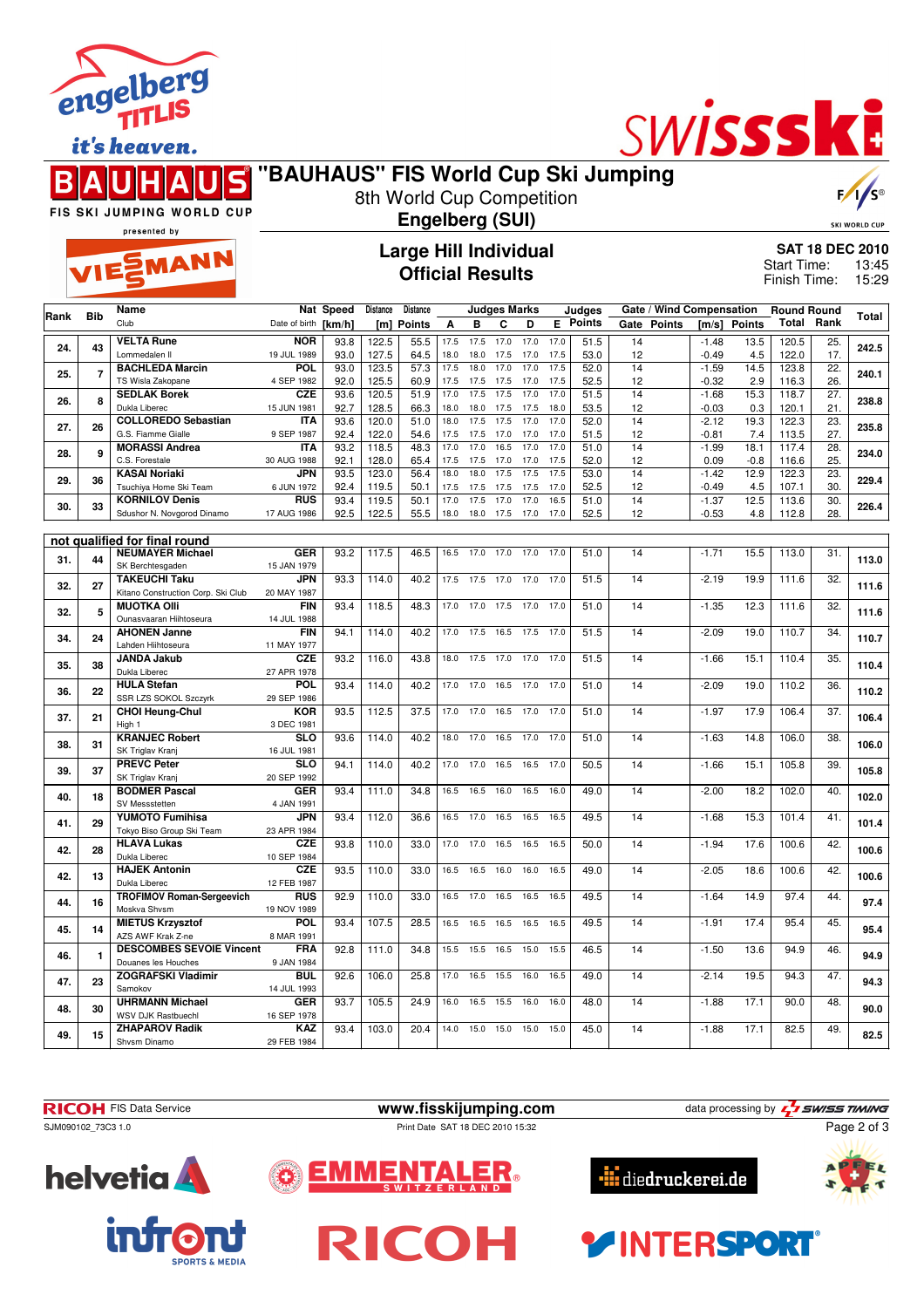

it's heaven.



# SWISSSK

### **"BAUHAUS" FIS World Cup Ski Jumping** 8th World Cup Competition

**Engelberg (SUI)**



SKI WORLD CUP

FIS SKI JUMPING WORLD CUP

## presented by EMANN

## **Large Hill Individual Official Results**

**SAT 18 DEC 2010** 13:45 15:29 Start Time: Finish Time:

|      | <b>Bib</b>     | Name                                                | Nat Speed                 |              | Distance       | <b>Distance</b> |              |              | <b>Judges Marks</b> |              |              | Judges        |          | Gate / Wind Compensation |                 |                | <b>Round Round</b> |                   | <b>Total</b> |
|------|----------------|-----------------------------------------------------|---------------------------|--------------|----------------|-----------------|--------------|--------------|---------------------|--------------|--------------|---------------|----------|--------------------------|-----------------|----------------|--------------------|-------------------|--------------|
| Rank |                | Club                                                | Date of birth [km/h]      |              |                | [m] Points      | Α            | в            | C                   | D            | E.           | <b>Points</b> |          | Gate Points              | [m/s]           | <b>Points</b>  | <b>Total</b>       | Rank              |              |
|      |                | <b>VELTA Rune</b>                                   | <b>NOR</b>                | 93.8         | 122.5          | 55.5            | 17.5         | 17.5         | 17.0                | 17.0         | 17.0         | 51.5          | 14       |                          | $-1.48$         | 13.5           | 120.5              | 25.               |              |
| 24.  | 43             | Lommedalen II                                       | 19 JUL 1989               | 93.0         | 127.5          | 64.5            | 18.0         | 18.0         | 17.5                | 17.0         | 17.5         | 53.0          | 12       |                          | $-0.49$         | 4.5            | 122.0              | 17.               | 242.5        |
| 25.  | $\overline{7}$ | <b>BACHLEDA Marcin</b>                              | POL                       | 93.0         | 123.5          | 57.3            | 17.5         | 18.0         | 17.0                | 17.0         | 17.5         | 52.0          | 14       |                          | $-1.59$         | 14.5           | 123.8              | $\overline{22}$ . | 240.1        |
|      |                | TS Wisla Zakopane                                   | 4 SEP 1982                | 92.0         | 125.5          | 60.9            | 17.5         | 17.5         | 17.5                | 17.0         | 17.5         | 52.5          | 12       |                          | $-0.32$         | 2.9            | 116.3              | 26.               |              |
| 26.  | 8              | <b>SEDLAK Borek</b>                                 | <b>CZE</b>                | 93.6         | 120.5          | 51.9            | 17.0         | 17.5         | 17.5                | 17.0         | 17.0         | 51.5          | 14       |                          | $-1.68$         | 15.3           | 118.7              | 27.               | 238.8        |
|      |                | Dukla Liberec                                       | 15 JUN 1981               | 92.7         | 128.5          | 66.3            | 18.0         | 18.0         | 17.5                | 17.5         | 18.0         | 53.5          | 12       |                          | $-0.03$         | 0.3            | 120.1              | 21.               |              |
| 27.  | 26             | <b>COLLOREDO Sebastian</b>                          | <b>ITA</b>                | 93.6         | 120.0          | 51.0            | 18.0         | 17.5         | 17.5                | 17.0         | 17.0         | 52.0          | 14       |                          | $-2.12$         | 19.3           | 122.3              | 23.               | 235.8        |
|      |                | G.S. Fiamme Gialle                                  | 9 SEP 1987                | 92.4         | 122.0          | 54.6            | 17.5         | 17.5         | 17.0                | 17.0         | 17.0         | 51.5          | 12       |                          | $-0.81$         | 7.4            | 113.5              | 27.               |              |
| 28.  | 9              | <b>MORASSI Andrea</b><br>C.S. Forestale             | <b>ITA</b><br>30 AUG 1988 | 93.2         | 118.5          | 48.3            | 17.0         | 17.0         | 16.5                | 17.0<br>17.0 | 17.0         | 51.0          | 14       |                          | $-1.99$         | 18.1           | 117.4              | 28.<br>25.        | 234.0        |
|      |                | <b>KASAI Noriaki</b>                                | JPN                       | 92.1<br>93.5 | 128.0<br>123.0 | 65.4<br>56.4    | 17.5<br>18.0 | 17.5<br>18.0 | 17.0<br>17.5        | 17.5         | 17.5<br>17.5 | 52.0<br>53.0  | 12<br>14 |                          | 0.09<br>$-1.42$ | $-0.8$<br>12.9 | 116.6<br>122.3     | 23.               |              |
| 29.  | 36             | Tsuchiya Home Ski Team                              | 6 JUN 1972                | 92.4         | 119.5          | 50.1            | 17.5         |              | 17.5 17.5           | 17.5         | 17.0         | 52.5          | 12       |                          | $-0.49$         | 4.5            | 107.1              | 30.               | 229.4        |
|      |                | <b>KORNILOV Denis</b>                               | <b>RUS</b>                | 93.4         | 119.5          | 50.1            | 17.0         | 17.5         | 17.0                | 17.0         | 16.5         | 51.0          | 14       |                          | $-1.37$         | 12.5           | 113.6              | 30.               |              |
| 30.  | 33             | Sdushor N. Novgorod Dinamo                          | 17 AUG 1986               | 92.5         | 122.5          | 55.5            | 18.0         | 18.0         | 17.5                | 17.0         | 17.0         | 52.5          | 12       |                          | $-0.53$         | 4.8            | 112.8              | 28.               | 226.4        |
|      |                |                                                     |                           |              |                |                 |              |              |                     |              |              |               |          |                          |                 |                |                    |                   |              |
|      |                | not qualified for final round                       |                           |              |                |                 |              |              |                     |              |              |               |          |                          |                 |                |                    |                   |              |
| 31.  | 44             | <b>NEUMAYER Michael</b>                             | <b>GER</b>                | 93.2         | 117.5          | 46.5            | 16.5         | 17.0         | 17.0                | 17.0         | 17.0         | 51.0          | 14       |                          | $-1.71$         | 15.5           | 113.0              | 31.               | 113.0        |
|      |                | SK Berchtesgaden                                    | 15 JAN 1979               |              |                |                 |              |              |                     |              |              |               |          |                          |                 |                |                    |                   |              |
| 32.  | 27             | <b>TAKEUCHI Taku</b>                                | <b>JPN</b>                | 93.3         | 114.0          | 40.2            | 17.5         | 17.5         | 17.0                | 17.0         | 17.0         | 51.5          | 14       |                          | $-2.19$         | 19.9           | 111.6              | 32.               | 111.6        |
|      |                | Kitano Construction Corp. Ski Club                  | 20 MAY 1987               |              |                |                 |              |              |                     |              |              |               |          |                          |                 |                |                    |                   |              |
| 32.  | 5              | <b>MUOTKA OIII</b>                                  | <b>FIN</b>                | 93.4         | 118.5          | 48.3            | 17.0         | 17.0         | 17.5                | 17.0         | 17.0         | 51.0          | 14       |                          | $-1.35$         | 12.3           | 111.6              | $\overline{32}$ . | 111.6        |
|      |                | Ounasvaaran Hiihtoseura                             | 14 JUL 1988               |              |                |                 |              |              |                     |              |              |               |          |                          |                 |                |                    |                   |              |
| 34.  | 24             | <b>AHONEN Janne</b><br>Lahden Hiihtoseura           | <b>FIN</b><br>11 MAY 1977 | 94.1         | 114.0          | 40.2            | 17.0         | 17.5         | 16.5                | 17.5         | 17.0         | 51.5          | 14       |                          | $-2.09$         | 19.0           | 110.7              | 34.               | 110.7        |
|      |                | <b>JANDA Jakub</b>                                  | CZE                       | 93.2         | 116.0          | 43.8            | 18.0         | 17.5         | 17.0                | 17.0         | 17.0         | 51.5          | 14       |                          | $-1.66$         | 15.1           | 110.4              | 35.               |              |
| 35.  | 38             | Dukla Liberec                                       | 27 APR 1978               |              |                |                 |              |              |                     |              |              |               |          |                          |                 |                |                    |                   | 110.4        |
|      |                | <b>HULA Stefan</b>                                  | <b>POL</b>                | 93.4         | 114.0          | 40.2            | 17.0         | 17.0         | 16.5                | 17.0         | 17.0         | 51.0          | 14       |                          | $-2.09$         | 19.0           | 110.2              | 36.               |              |
| 36.  | 22             | SSR LZS SOKOL Szczyrk                               | 29 SEP 1986               |              |                |                 |              |              |                     |              |              |               |          |                          |                 |                |                    |                   | 110.2        |
|      |                | <b>CHOI Heung-Chul</b>                              | KOR                       | 93.5         | 112.5          | 37.5            | 17.0         | 17.0         | 16.5                | 17.0         | 17.0         | 51.0          | 14       |                          | $-1.97$         | 17.9           | 106.4              | 37.               |              |
| 37.  | 21             | High 1                                              | 3 DEC 1981                |              |                |                 |              |              |                     |              |              |               |          |                          |                 |                |                    |                   | 106.4        |
| 38.  | 31             | <b>KRANJEC Robert</b>                               | <b>SLO</b>                | 93.6         | 114.0          | 40.2            | 18.0         | 17.0         | 16.5                | 17.0         | 17.0         | 51.0          | 14       |                          | $-1.63$         | 14.8           | 106.0              | 38.               | 106.0        |
|      |                | SK Triglav Kranj                                    | 16 JUL 1981               |              |                |                 |              |              |                     |              |              |               |          |                          |                 |                |                    |                   |              |
| 39.  | 37             | <b>PREVC Peter</b>                                  | <b>SLO</b>                | 94.1         | 114.0          | 40.2            | 17.0         | 17.0         | 16.5                | 16.5         | 17.0         | 50.5          | 14       |                          | $-1.66$         | 15.1           | 105.8              | 39.               | 105.8        |
|      |                | SK Triglav Kranj                                    | 20 SEP 1992               |              |                |                 |              |              |                     |              |              |               |          |                          |                 |                |                    |                   |              |
| 40.  | 18             | <b>BODMER Pascal</b>                                | <b>GER</b>                | 93.4         | 111.0          | 34.8            | 16.5         | 16.5         | 16.0                | 16.5         | 16.0         | 49.0          | 14       |                          | $-2.00$         | 18.2           | 102.0              | 40.               | 102.0        |
|      |                | SV Messstetten                                      | 4 JAN 1991<br><b>JPN</b>  |              |                |                 |              |              |                     |              |              |               | 14       |                          |                 |                |                    |                   |              |
| 41.  | 29             | <b>YUMOTO Fumihisa</b><br>Tokyo Biso Group Ski Team | 23 APR 1984               | 93.4         | 112.0          | 36.6            | 16.5         | 17.0         | 16.5                | 16.5         | 16.5         | 49.5          |          |                          | $-1.68$         | 15.3           | 101.4              | 41.               | 101.4        |
|      |                | <b>HLAVA Lukas</b>                                  | <b>CZE</b>                | 93.8         | 110.0          | 33.0            | 17.0         | 17.0         | 16.5                | 16.5         | 16.5         | 50.0          | 14       |                          | $-1.94$         | 17.6           | 100.6              | 42.               |              |
| 42.  | 28             | Dukla Liberec                                       | 10 SEP 1984               |              |                |                 |              |              |                     |              |              |               |          |                          |                 |                |                    |                   | 100.6        |
|      |                | <b>HAJEK Antonin</b>                                | <b>CZE</b>                | 93.5         | 110.0          | 33.0            | 16.5         | 16.5         | 16.0                | 16.0         | 16.5         | 49.0          | 14       |                          | $-2.05$         | 18.6           | 100.6              | 42.               |              |
| 42.  | 13             | Dukla Liberec                                       | 12 FEB 1987               |              |                |                 |              |              |                     |              |              |               |          |                          |                 |                |                    |                   | 100.6        |
| 44.  | 16             | <b>TROFIMOV Roman-Sergeevich</b>                    | <b>RUS</b>                | 92.9         | 110.0          | 33.0            | 16.5         | 17.0         | 16.5                | 16.5         | 16.5         | 49.5          | 14       |                          | $-1.64$         | 14.9           | 97.4               | 44.               |              |
|      |                | Moskva Shvsm                                        | 19 NOV 1989               |              |                |                 |              |              |                     |              |              |               |          |                          |                 |                |                    |                   | 97.4         |
| 45.  | 14             | <b>MIETUS Krzysztof</b>                             | <b>POL</b>                | 93.4         | 107.5          | 28.5            | 16.5         | 16.5         | 16.5                | 16.5         | 16.5         | 49.5          | 14       |                          | $-1.91$         | 17.4           | 95.4               | 45.               | 95.4         |
|      |                | AZS AWF Krak Z-ne                                   | 8 MAR 1991                |              |                |                 |              |              |                     |              |              |               |          |                          |                 |                |                    |                   |              |
| 46.  | $\mathbf{1}$   | <b>DESCOMBES SEVOIE Vincent</b>                     | <b>FRA</b>                | 92.8         | 111.0          | 34.8            | 15.5         | 15.5         | 16.5                | 15.0         | 15.5         | 46.5          | 14       |                          | $-1.50$         | 13.6           | 94.9               | 46.               | 94.9         |
|      |                | Douanes les Houches                                 | 9 JAN 1984                |              |                |                 |              |              |                     |              |              |               |          |                          |                 |                |                    |                   |              |
| 47.  | 23             | <b>ZOGRAFSKI Vladimir</b>                           | BUL                       | 92.6         | 106.0          | 25.8            | 17.0         | 16.5         | 15.5                | 16.0         | 16.5         | 49.0          | 14       |                          | $-2.14$         | 19.5           | 94.3               | 47.               | 94.3         |
|      |                | Samokov<br><b>UHRMANN Michael</b>                   | 14 JUL 1993<br><b>GER</b> | 93.7         | 105.5          | 24.9            | 16.0         | 16.5         | 15.5                | 16.0         | 16.0         | 48.0          | 14       |                          | $-1.88$         | 17.1           | 90.0               | 48.               |              |
| 48.  | 30             | <b>WSV DJK Rastbuechl</b>                           | 16 SEP 1978               |              |                |                 |              |              |                     |              |              |               |          |                          |                 |                |                    |                   | 90.0         |
|      |                | <b>ZHAPAROV Radik</b>                               | KAZ                       | 93.4         | 103.0          | 20.4            | 14.0         | 15.0         | 15.0                | 15.0         | 15.0         | 45.0          | 14       |                          | $-1.88$         | 17.1           | 82.5               | 49.               |              |
| 49.  | 15             | Shvsm Dinamo                                        | 29 FEB 1984               |              |                |                 |              |              |                     |              |              |               |          |                          |                 |                |                    |                   | 82.5         |











INTERSPORT